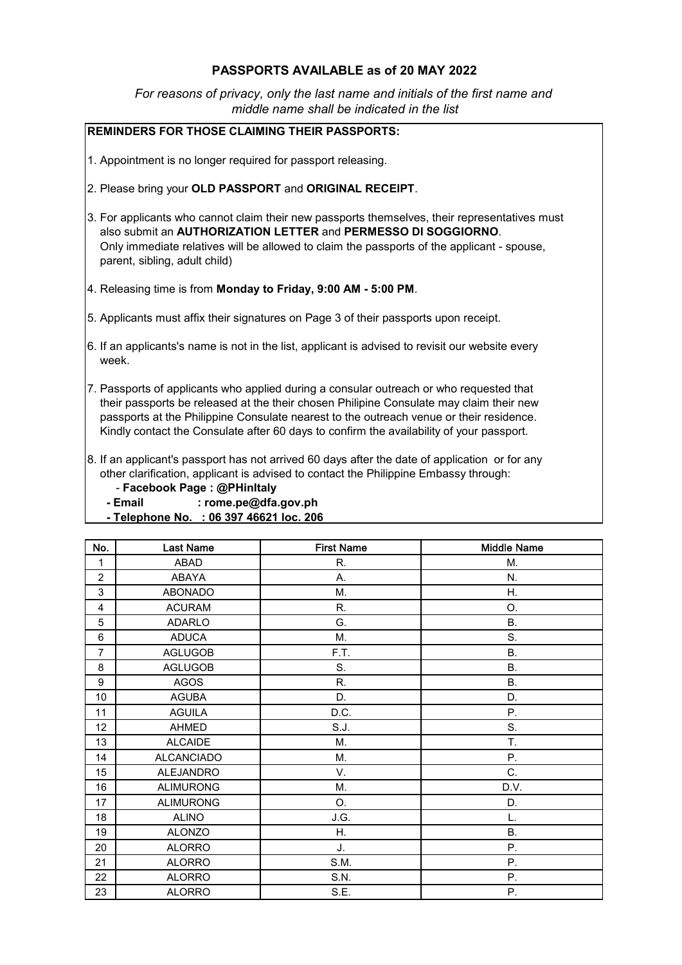## PASSPORTS AVAILABLE as of 20 MAY 2022

 *middle name shall be indicated in the list For reasons of privacy, only the last name and initials of the first name and*

## REMINDERS FOR THOSE CLAIMING THEIR PASSPORTS:

- 1. Appointment is no longer required for passport releasing.
- 2. Please bring your OLD PASSPORT and ORIGINAL RECEIPT.
- 3. For applicants who cannot claim their new passports themselves, their representatives must also submit an AUTHORIZATION LETTER and PERMESSO DI SOGGIORNO. Only immediate relatives will be allowed to claim the passports of the applicant - spouse, parent, sibling, adult child)
- 4. Releasing time is from Monday to Friday, 9:00 AM 5:00 PM.
- 5. Applicants must affix their signatures on Page 3 of their passports upon receipt.
- 6. If an applicants's name is not in the list, applicant is advised to revisit our website every week.
- 7. Passports of applicants who applied during a consular outreach or who requested that their passports be released at the their chosen Philipine Consulate may claim their new passports at the Philippine Consulate nearest to the outreach venue or their residence. Kindly contact the Consulate after 60 days to confirm the availability of your passport.
- 8. If an applicant's passport has not arrived 60 days after the date of application or for any other clarification, applicant is advised to contact the Philippine Embassy through:
	- Facebook Page : @PHinItaly
	- Email : rome.pe@dfa.gov.ph
	- Telephone No. : 06 397 46621 loc. 206

| No.              | <b>Last Name</b>  | <b>First Name</b> | <b>Middle Name</b> |
|------------------|-------------------|-------------------|--------------------|
| 1                | <b>ABAD</b>       | R.                | М.                 |
| $\overline{c}$   | <b>ABAYA</b>      | А.                | N.                 |
| 3                | <b>ABONADO</b>    | Μ.                | Η.                 |
| 4                | <b>ACURAM</b>     | R.                | O.                 |
| 5                | <b>ADARLO</b>     | G.                | <b>B.</b>          |
| 6                | <b>ADUCA</b>      | М.                | S.                 |
| $\overline{7}$   | <b>AGLUGOB</b>    | F.T.              | <b>B.</b>          |
| 8                | <b>AGLUGOB</b>    | S.                | <b>B.</b>          |
| $\boldsymbol{9}$ | <b>AGOS</b>       | R.                | <b>B.</b>          |
| 10               | <b>AGUBA</b>      | D.                | D.                 |
| 11               | <b>AGUILA</b>     | D.C.              | Ρ.                 |
| 12               | AHMED             | S.J.              | S.                 |
| 13               | <b>ALCAIDE</b>    | М.                | T.                 |
| 14               | <b>ALCANCIADO</b> | M.                | Ρ.                 |
| 15               | <b>ALEJANDRO</b>  | V.                | C.                 |
| 16               | <b>ALIMURONG</b>  | M.                | D.V.               |
| 17               | <b>ALIMURONG</b>  | O.                | D.                 |
| 18               | <b>ALINO</b>      | J.G.              | L.                 |
| 19               | <b>ALONZO</b>     | Η.                | Β.                 |
| 20               | <b>ALORRO</b>     | J.                | Ρ.                 |
| 21               | <b>ALORRO</b>     | S.M.              | Ρ.                 |
| 22               | <b>ALORRO</b>     | S.N.              | Ρ.                 |
| 23               | <b>ALORRO</b>     | S.E.              | Ρ.                 |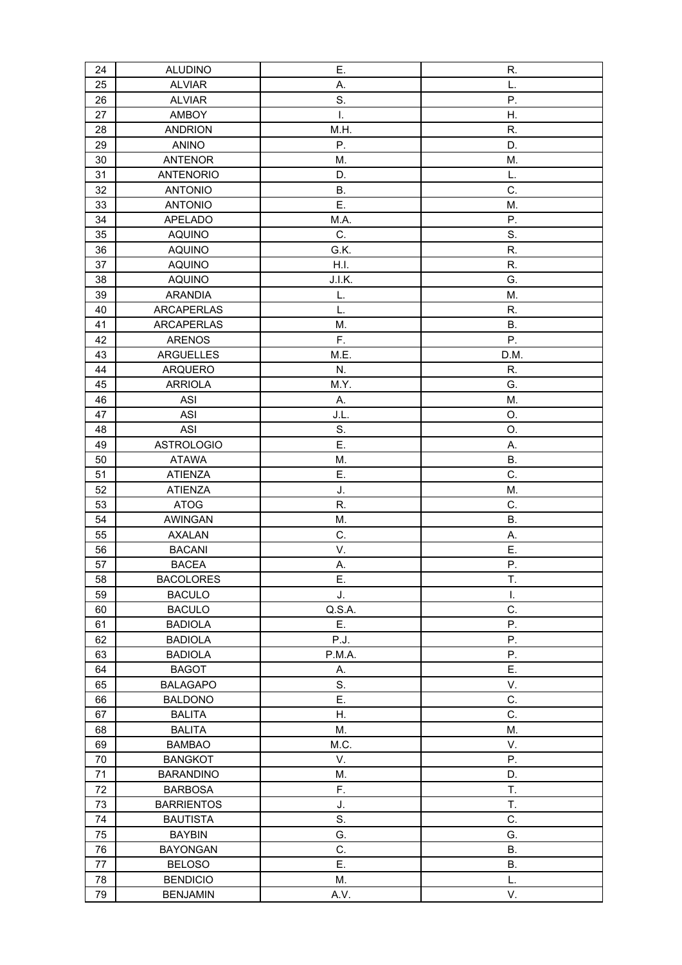| 24 | <b>ALUDINO</b>    | Ε.        | R.        |
|----|-------------------|-----------|-----------|
| 25 | <b>ALVIAR</b>     | Α.        | L.        |
| 26 | <b>ALVIAR</b>     | S.        | Ρ.        |
| 27 | AMBOY             | I.        | Η.        |
| 28 | <b>ANDRION</b>    | M.H.      | R.        |
| 29 | <b>ANINO</b>      | Ρ.        | D.        |
| 30 | <b>ANTENOR</b>    | M.        | M.        |
| 31 | <b>ANTENORIO</b>  | D.        | L.        |
| 32 | <b>ANTONIO</b>    | <b>B.</b> | C.        |
| 33 | <b>ANTONIO</b>    | Ε.        | M.        |
| 34 | <b>APELADO</b>    | M.A.      | Ρ.        |
| 35 | <b>AQUINO</b>     | C.        | S.        |
| 36 | <b>AQUINO</b>     | G.K.      | R.        |
| 37 | <b>AQUINO</b>     | H.I.      | R.        |
| 38 | <b>AQUINO</b>     | J.I.K.    | G.        |
| 39 | <b>ARANDIA</b>    | L.        | M.        |
| 40 | <b>ARCAPERLAS</b> | L.        | R.        |
| 41 | <b>ARCAPERLAS</b> | M.        | <b>B.</b> |
| 42 | <b>ARENOS</b>     | F.        | Ρ.        |
| 43 | <b>ARGUELLES</b>  | M.E.      | D.M.      |
| 44 | ARQUERO           | N.        | R.        |
| 45 | <b>ARRIOLA</b>    | M.Y.      | G.        |
| 46 | ASI               | А.        | M.        |
| 47 | <b>ASI</b>        | J.L.      | O.        |
| 48 | <b>ASI</b>        | S.        | O.        |
| 49 | <b>ASTROLOGIO</b> | Ε.        | Α.        |
| 50 | <b>ATAWA</b>      | M.        | <b>B.</b> |
| 51 | <b>ATIENZA</b>    | Ε.        | C.        |
| 52 | <b>ATIENZA</b>    | J.        | M.        |
| 53 | <b>ATOG</b>       | R.        | C.        |
| 54 | <b>AWINGAN</b>    | M.        | <b>B.</b> |
| 55 | <b>AXALAN</b>     | C.        | Α.        |
| 56 | <b>BACANI</b>     | V.        | Ε.        |
| 57 | <b>BACEA</b>      | А.        | Ρ.        |
| 58 | <b>BACOLORES</b>  | Ε.        | T.        |
| 59 | <b>BACULO</b>     | J.        | I.        |
| 60 | <b>BACULO</b>     | Q.S.A.    | C.        |
| 61 | <b>BADIOLA</b>    | Ε.        | Ρ.        |
| 62 | <b>BADIOLA</b>    | P.J.      | Ρ.        |
| 63 | <b>BADIOLA</b>    | P.M.A.    | Ρ.        |
| 64 | <b>BAGOT</b>      | А.        | Ε.        |
| 65 | <b>BALAGAPO</b>   | S.        | V.        |
| 66 | <b>BALDONO</b>    | Ε.        | C.        |
| 67 | <b>BALITA</b>     | Η.        | C.        |
| 68 | <b>BALITA</b>     | M.        | M.        |
| 69 | <b>BAMBAO</b>     | M.C.      | V.        |
| 70 | <b>BANGKOT</b>    | V.        | Ρ.        |
| 71 | <b>BARANDINO</b>  | Μ.        | D.        |
| 72 | <b>BARBOSA</b>    | F.        | T.        |
| 73 | <b>BARRIENTOS</b> | J.        | T.        |
| 74 | <b>BAUTISTA</b>   | S.        | C.        |
| 75 | <b>BAYBIN</b>     | G.        | G.        |
| 76 | <b>BAYONGAN</b>   | C.        | <b>B.</b> |
| 77 | <b>BELOSO</b>     | Ε.        | <b>B.</b> |
| 78 | <b>BENDICIO</b>   | M.        | L.        |
| 79 | <b>BENJAMIN</b>   | A.V.      | V.        |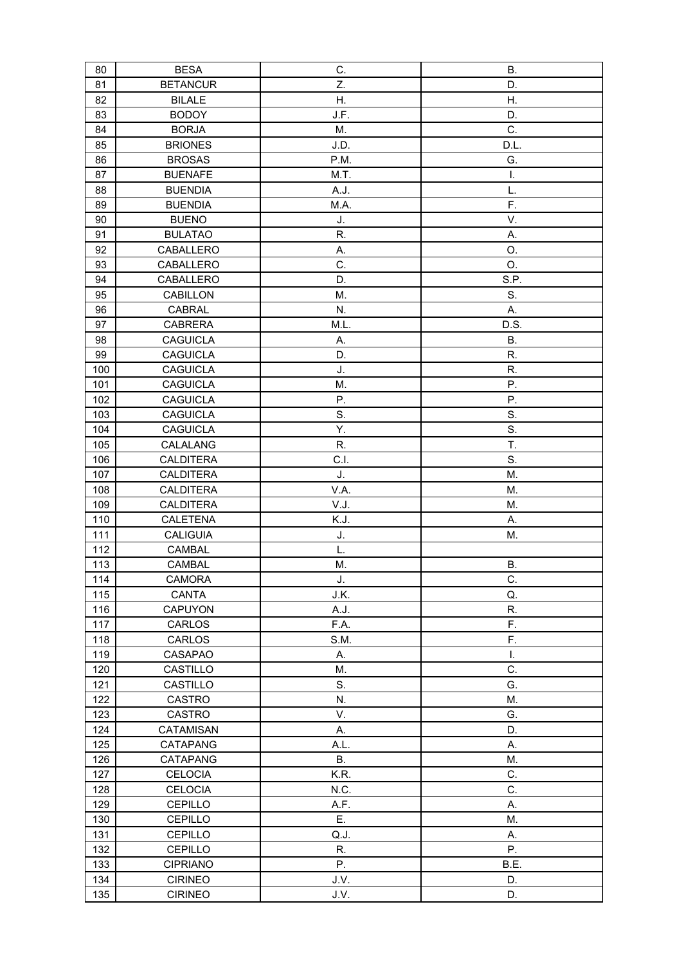| 80  | <b>BESA</b>      | C.        | <b>B.</b> |
|-----|------------------|-----------|-----------|
| 81  | <b>BETANCUR</b>  | Z.        | D.        |
| 82  | <b>BILALE</b>    | Η.        | Η.        |
| 83  | <b>BODOY</b>     | J.F.      | D.        |
| 84  | <b>BORJA</b>     | M.        | C.        |
| 85  | <b>BRIONES</b>   | J.D.      | D.L.      |
| 86  | <b>BROSAS</b>    | P.M.      | G.        |
| 87  | <b>BUENAFE</b>   | M.T.      | I.        |
| 88  | <b>BUENDIA</b>   | A.J.      | L.        |
| 89  | <b>BUENDIA</b>   | M.A.      | F.        |
| 90  | <b>BUENO</b>     | J.        | V.        |
| 91  | <b>BULATAO</b>   | R.        | Α.        |
| 92  | CABALLERO        | А.        | O.        |
| 93  | CABALLERO        | C.        | O.        |
| 94  | CABALLERO        | D.        | S.P.      |
| 95  | CABILLON         | M.        | S.        |
| 96  | CABRAL           | N.        | А.        |
| 97  | <b>CABRERA</b>   | M.L.      | D.S.      |
| 98  | <b>CAGUICLA</b>  | А.        | <b>B.</b> |
| 99  | <b>CAGUICLA</b>  | D.        | R.        |
| 100 | <b>CAGUICLA</b>  | J.        | R.        |
| 101 | <b>CAGUICLA</b>  | Μ.        | Ρ.        |
| 102 | <b>CAGUICLA</b>  | Ρ.        | Ρ.        |
| 103 | <b>CAGUICLA</b>  | S.        | S.        |
| 104 | <b>CAGUICLA</b>  | Υ.        | S.        |
| 105 | CALALANG         | R.        | T.        |
| 106 | <b>CALDITERA</b> | C.I.      | S.        |
| 107 | <b>CALDITERA</b> | J.        | M.        |
| 108 | <b>CALDITERA</b> | V.A.      | M.        |
| 109 | <b>CALDITERA</b> | V.J.      | M.        |
| 110 | CALETENA         | K.J.      | А.        |
| 111 | <b>CALIGUIA</b>  | J.        | M.        |
| 112 | <b>CAMBAL</b>    | L.        |           |
| 113 | CAMBAL           | M.        | В.        |
| 114 | CAMORA           | J.        | C.        |
| 115 | CANTA            | J.K.      | Q.        |
| 116 | CAPUYON          | A.J.      | R.        |
| 117 | CARLOS           | F.A.      | F.        |
| 118 | CARLOS           | S.M.      | F.        |
| 119 | CASAPAO          | А.        | Ι.        |
| 120 | CASTILLO         | M.        | C.        |
| 121 | CASTILLO         | S.        | G.        |
| 122 | CASTRO           | N.        | M.        |
| 123 | CASTRO           | V.        | G.        |
| 124 | CATAMISAN        | А.        | D.        |
| 125 | <b>CATAPANG</b>  | A.L.      | Α.        |
| 126 | CATAPANG         | <b>B.</b> | M.        |
| 127 | <b>CELOCIA</b>   | K.R.      | C.        |
| 128 | <b>CELOCIA</b>   | N.C.      | C.        |
| 129 | CEPILLO          | A.F.      | А.        |
| 130 | <b>CEPILLO</b>   | Ε.        | М.        |
| 131 | CEPILLO          | Q.J.      | А.        |
| 132 | CEPILLO          | R.        | Ρ.        |
| 133 | <b>CIPRIANO</b>  | Ρ.        | B.E.      |
| 134 | <b>CIRINEO</b>   | J.V.      | D.        |
| 135 | <b>CIRINEO</b>   | J.V.      | D.        |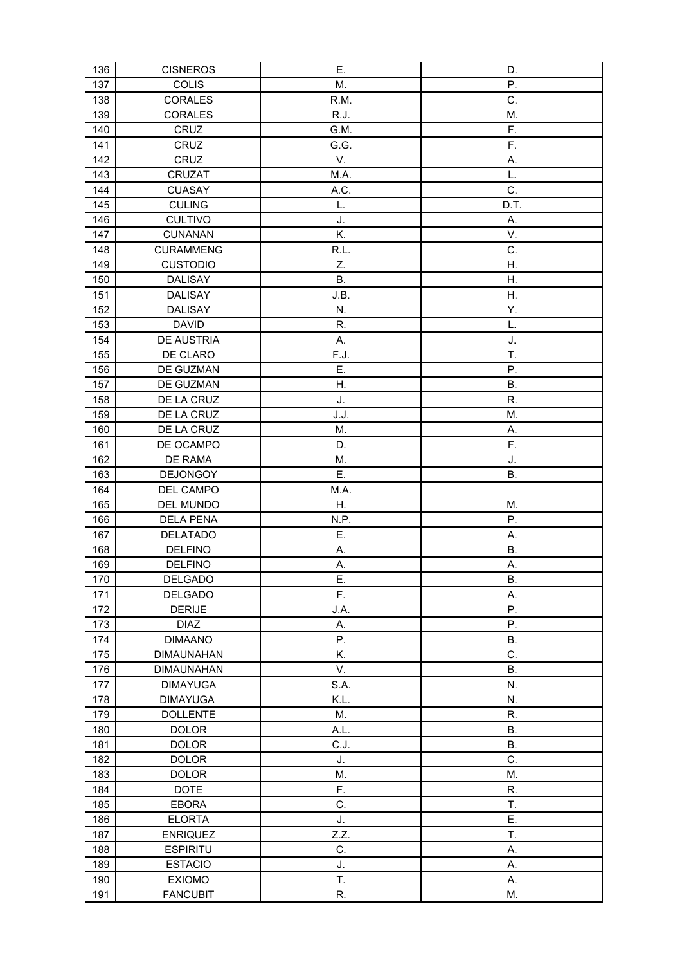| 136        | <b>CISNEROS</b>              | Ε.         | D.              |
|------------|------------------------------|------------|-----------------|
| 137        | <b>COLIS</b>                 | M.         | P.              |
| 138        | <b>CORALES</b>               | R.M.       | C.              |
| 139        | <b>CORALES</b>               | R.J.       | M.              |
| 140        | CRUZ                         | G.M.       | F.              |
| 141        | CRUZ                         | G.G.       | F.              |
| 142        | CRUZ                         | V.         | Α.              |
| 143        | <b>CRUZAT</b>                | M.A.       | L.              |
| 144        | <b>CUASAY</b>                | A.C.       | C.              |
| 145        | <b>CULING</b>                | L.         | D.T.            |
| 146        | <b>CULTIVO</b>               | J.         | А.              |
| 147        | <b>CUNANAN</b>               | K.         | V.              |
| 148        | <b>CURAMMENG</b>             | R.L.       | C.              |
| 149        | <b>CUSTODIO</b>              | Z.         | Η.              |
| 150        | <b>DALISAY</b>               | Β.         | Η.              |
| 151        | <b>DALISAY</b>               | J.B.       | Η.              |
| 152        | DALISAY                      | N.         | Υ.              |
| 153        | <b>DAVID</b>                 | R.         | L.              |
| 154        | DE AUSTRIA                   | Α.         | J.              |
| 155        | DE CLARO                     | F.J.       | T.              |
| 156        | DE GUZMAN                    | Ε.         | P.              |
| 157        | DE GUZMAN                    | Η.         | <b>B.</b>       |
| 158        | DE LA CRUZ                   | J.         | R.              |
| 159        | DE LA CRUZ                   | J.J.       | M.              |
| 160        | DE LA CRUZ                   | M.         | А.              |
| 161        | DE OCAMPO                    | D.         | F.              |
| 162        | DE RAMA                      | М.         | J.              |
| 163        | <b>DEJONGOY</b>              | Ε.         | В.              |
| 164        | DEL CAMPO                    | M.A.       |                 |
| 165        | DEL MUNDO                    | Η.         | M.              |
| 166        | <b>DELA PENA</b>             | N.P.       | Ρ.              |
| 167        | DELATADO                     | Ε.         | Α.              |
| 168        | <b>DELFINO</b>               | А.         | <b>B.</b>       |
| 169        | <b>DELFINO</b>               | А.         | Α.              |
| 170        | <b>DELGADO</b>               | E.         | Β.              |
| 171        | <b>DELGADO</b>               | F.         | Α.              |
| 172        | <b>DERIJE</b>                | J.A.       | Ρ.              |
| 173        | <b>DIAZ</b>                  | А.         | Ρ.              |
| 174        | <b>DIMAANO</b>               | Ρ.         | В.              |
| 175        | <b>DIMAUNAHAN</b>            | K.         | C.              |
| 176        | <b>DIMAUNAHAN</b>            | V.         | <b>B.</b>       |
| 177        |                              |            |                 |
|            |                              | S.A.       | N.              |
|            | <b>DIMAYUGA</b>              |            |                 |
| 178        | <b>DIMAYUGA</b>              | K.L.       | N.              |
| 179        | <b>DOLLENTE</b>              | M.         | R.              |
| 180        | <b>DOLOR</b>                 | A.L.       | В.              |
| 181<br>182 | <b>DOLOR</b><br><b>DOLOR</b> | C.J.<br>J. | <b>B.</b><br>C. |
| 183        | <b>DOLOR</b>                 | Μ.         | M.              |
| 184        | <b>DOTE</b>                  | F.         | R.              |
| 185        | <b>EBORA</b>                 | C.         | T.              |
| 186        | <b>ELORTA</b>                | J.         | Ε.              |
| 187        | <b>ENRIQUEZ</b>              | Z.Z.       | T.              |
| 188        | <b>ESPIRITU</b>              | C.         | А.              |
| 189        | <b>ESTACIO</b>               | J.         | Α.              |
| 190        | <b>EXIOMO</b>                | T.         | А.              |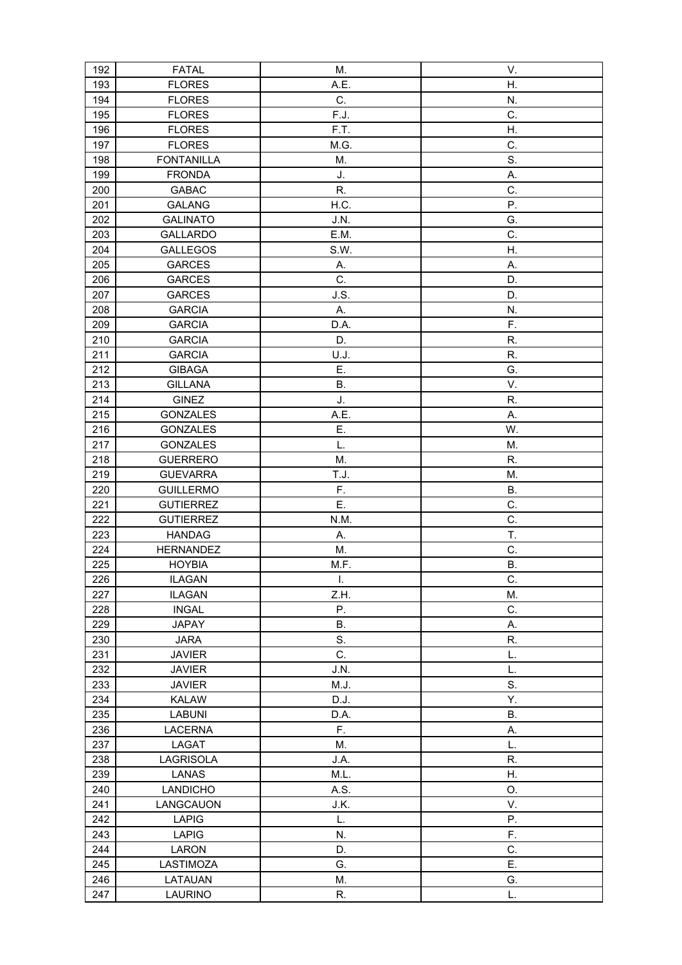| 192 | <b>FATAL</b>      | Μ.   | V.        |
|-----|-------------------|------|-----------|
| 193 | <b>FLORES</b>     | A.E. | Η.        |
| 194 | <b>FLORES</b>     | C.   | N.        |
| 195 | <b>FLORES</b>     | F.J. | C.        |
| 196 | <b>FLORES</b>     | F.T. | Η.        |
| 197 | <b>FLORES</b>     | M.G. | C.        |
| 198 | <b>FONTANILLA</b> | M.   | S.        |
| 199 | <b>FRONDA</b>     | J.   | Α.        |
| 200 | <b>GABAC</b>      | R.   | C.        |
| 201 | <b>GALANG</b>     | H.C. | Ρ.        |
| 202 | <b>GALINATO</b>   | J.N. | G.        |
| 203 | <b>GALLARDO</b>   | E.M. | C.        |
| 204 | <b>GALLEGOS</b>   | S.W. | Η.        |
| 205 | <b>GARCES</b>     | А.   | Α.        |
| 206 | <b>GARCES</b>     | C.   | D.        |
| 207 | <b>GARCES</b>     | J.S. | D.        |
| 208 | <b>GARCIA</b>     | А.   | N.        |
| 209 | <b>GARCIA</b>     | D.A. | F.        |
| 210 | <b>GARCIA</b>     | D.   | R.        |
| 211 | <b>GARCIA</b>     | U.J. | R.        |
| 212 | <b>GIBAGA</b>     | Ε.   | G.        |
| 213 | <b>GILLANA</b>    | Β.   | V.        |
| 214 | <b>GINEZ</b>      | J.   | R.        |
| 215 | <b>GONZALES</b>   | A.E. | Α.        |
| 216 | <b>GONZALES</b>   | Ε.   | W.        |
| 217 | <b>GONZALES</b>   | L.   | M.        |
| 218 | <b>GUERRERO</b>   | M.   | R.        |
| 219 | <b>GUEVARRA</b>   | T.J. | M.        |
| 220 | <b>GUILLERMO</b>  | F.   | <b>B.</b> |
| 221 | <b>GUTIERREZ</b>  | Ε.   | C.        |
| 222 | <b>GUTIERREZ</b>  | N.M. | C.        |
| 223 | <b>HANDAG</b>     | А.   | T.        |
| 224 | <b>HERNANDEZ</b>  | Μ.   | C.        |
| 225 | <b>HOYBIA</b>     | M.F. | В.        |
| 226 | <b>ILAGAN</b>     | I.   | C.        |
| 227 | <b>ILAGAN</b>     | Z.H. | M.        |
| 228 | <b>INGAL</b>      | Ρ.   | C.        |
| 229 | <b>JAPAY</b>      | Β.   | А.        |
| 230 | <b>JARA</b>       | S.   | R.        |
| 231 | <b>JAVIER</b>     | C.   | L.        |
| 232 | <b>JAVIER</b>     | J.N. | L.        |
| 233 | <b>JAVIER</b>     | M.J. | S.        |
| 234 | <b>KALAW</b>      | D.J. | Υ.        |
| 235 | <b>LABUNI</b>     | D.A. | Β.        |
| 236 | <b>LACERNA</b>    | F.   | А.        |
| 237 | LAGAT             | M.   | L.        |
| 238 | LAGRISOLA         | J.A. | R.        |
| 239 | LANAS             | M.L. | Η.        |
| 240 | <b>LANDICHO</b>   | A.S. | O.        |
| 241 | LANGCAUON         | J.K. | V.        |
| 242 | <b>LAPIG</b>      | L.   | Ρ.        |
| 243 | <b>LAPIG</b>      | N.   | F.        |
| 244 | LARON             | D.   | C.        |
| 245 | LASTIMOZA         | G.   | E.        |
| 246 | LATAUAN           | M.   | G.        |
| 247 | <b>LAURINO</b>    | R.   | L.        |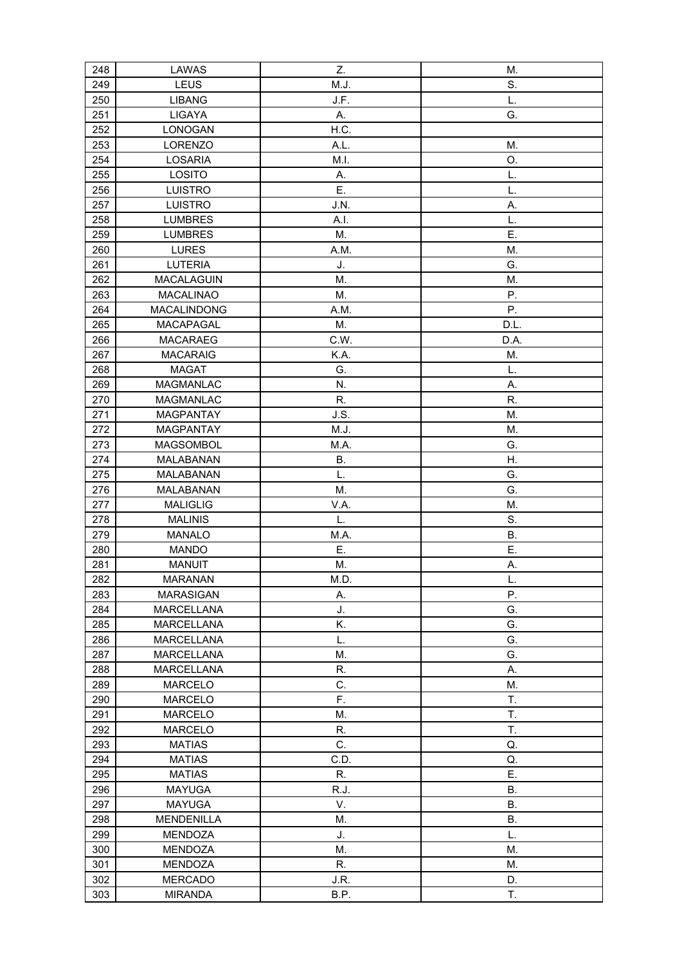| 248 | LAWAS             | Z.   | M.        |
|-----|-------------------|------|-----------|
| 249 | LEUS              | M.J. | S.        |
| 250 | <b>LIBANG</b>     | J.F. | L.        |
| 251 | LIGAYA            | А.   | G.        |
| 252 | LONOGAN           | H.C. |           |
| 253 | <b>LORENZO</b>    | A.L. | M.        |
| 254 | LOSARIA           | M.I. | O.        |
| 255 | LOSITO            | А.   | L.        |
| 256 | <b>LUISTRO</b>    | Ε.   | L.        |
| 257 | <b>LUISTRO</b>    | J.N. | Α.        |
| 258 | <b>LUMBRES</b>    | A.I. | L.        |
| 259 | <b>LUMBRES</b>    | М.   | Ε.        |
| 260 | <b>LURES</b>      | A.M. | M.        |
| 261 | <b>LUTERIA</b>    | J.   | G.        |
| 262 | MACALAGUIN        | M.   | M.        |
| 263 | MACALINAO         | M.   | Ρ.        |
| 264 | MACALINDONG       | A.M. | Ρ.        |
| 265 | MACAPAGAL         | Μ.   | D.L.      |
| 266 | <b>MACARAEG</b>   | C.W. | D.A.      |
| 267 | <b>MACARAIG</b>   | K.A. | M.        |
| 268 | <b>MAGAT</b>      | G.   | L.        |
| 269 | MAGMANLAC         | N.   | А.        |
| 270 | <b>MAGMANLAC</b>  | R.   | R.        |
| 271 | <b>MAGPANTAY</b>  | J.S. | M.        |
| 272 | <b>MAGPANTAY</b>  | M.J. | M.        |
| 273 | MAGSOMBOL         | M.A. | G.        |
| 274 | MALABANAN         | Β.   | Η.        |
| 275 | MALABANAN         | L.   | G.        |
| 276 | MALABANAN         | Μ.   | G.        |
| 277 | <b>MALIGLIG</b>   | V.A. | M.        |
| 278 | <b>MALINIS</b>    | L.   | S.        |
| 279 | MANALO            | M.A. | <b>B.</b> |
| 280 | <b>MANDO</b>      | Ε.   | E.        |
| 281 | <b>MANUIT</b>     | М.   | Α.        |
| 282 | <b>MARANAN</b>    | M.D. | L.        |
| 283 | <b>MARASIGAN</b>  | А.   | Ρ.        |
| 284 | <b>MARCELLANA</b> | J.   | G.        |
| 285 | <b>MARCELLANA</b> | Κ.   | G.        |
| 286 | <b>MARCELLANA</b> | L.   | G.        |
| 287 | <b>MARCELLANA</b> | М.   | G.        |
| 288 | <b>MARCELLANA</b> | R.   | А.        |
| 289 | <b>MARCELO</b>    | C.   | M.        |
| 290 | <b>MARCELO</b>    | F.   | T.        |
| 291 | <b>MARCELO</b>    | М.   | T.        |
| 292 | <b>MARCELO</b>    | R.   | T.        |
| 293 | <b>MATIAS</b>     | C.   | Q.        |
| 294 | <b>MATIAS</b>     | C.D. | Q.        |
| 295 | <b>MATIAS</b>     | R.   | Ε.        |
| 296 | <b>MAYUGA</b>     | R.J. | Β.        |
| 297 | <b>MAYUGA</b>     | V.   | Β.        |
| 298 | <b>MENDENILLA</b> | М.   | <b>B.</b> |
| 299 | MENDOZA           | J.   | L.        |
| 300 | <b>MENDOZA</b>    | M.   | M.        |
| 301 | MENDOZA           | R.   | M.        |
| 302 | <b>MERCADO</b>    | J.R. | D.        |
| 303 | <b>MIRANDA</b>    | B.P. | T.        |
|     |                   |      |           |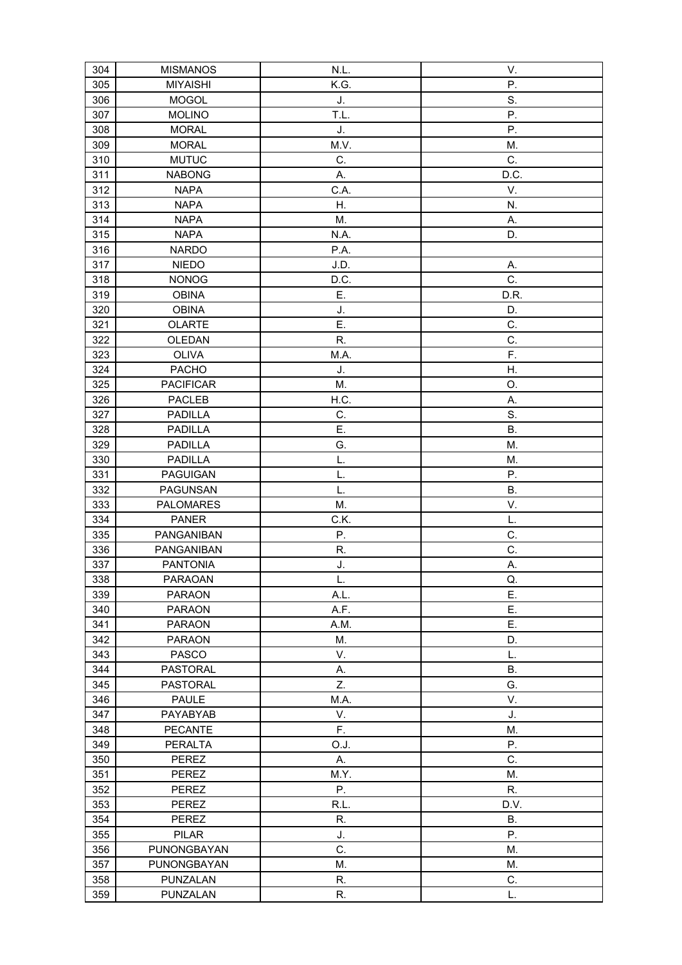| 304        | <b>MISMANOS</b>               | N.L.     | V.              |
|------------|-------------------------------|----------|-----------------|
| 305        | <b>MIYAISHI</b>               | K.G.     | Ρ.              |
| 306        | <b>MOGOL</b>                  | J.       | S.              |
| 307        | <b>MOLINO</b>                 | T.L.     | P.              |
| 308        | <b>MORAL</b>                  | J.       | Ρ.              |
| 309        | <b>MORAL</b>                  | M.V.     | M.              |
| 310        | <b>MUTUC</b>                  | C.       | C.              |
| 311        | <b>NABONG</b>                 | А.       | D.C.            |
| 312        | <b>NAPA</b>                   | C.A.     | V.              |
| 313        | <b>NAPA</b>                   | Η.       | N.              |
| 314        | <b>NAPA</b>                   | M.       | А.              |
| 315        | <b>NAPA</b>                   | N.A.     | D.              |
| 316        | <b>NARDO</b>                  | P.A.     |                 |
| 317        | <b>NIEDO</b>                  | J.D.     | А.              |
| 318        | <b>NONOG</b>                  | D.C.     | C.              |
| 319        | <b>OBINA</b>                  | Ε.       | D.R.            |
| 320        | <b>OBINA</b>                  | J.       | D.              |
| 321        | <b>OLARTE</b>                 | Ε.       | C.              |
| 322        | OLEDAN                        | R.       | C.              |
| 323        | <b>OLIVA</b>                  | M.A.     | F.              |
| 324        | <b>PACHO</b>                  | J.       | Η.              |
| 325        | <b>PACIFICAR</b>              | Μ.       | O.              |
| 326        | <b>PACLEB</b>                 | H.C.     |                 |
| 327        | <b>PADILLA</b>                | C.       | А.<br>S.        |
| 328        | <b>PADILLA</b>                | Ε.       | <b>B.</b>       |
|            |                               | G.       | M.              |
| 329        | <b>PADILLA</b>                | L.       |                 |
| 330        | <b>PADILLA</b>                |          | M.              |
| 331        | <b>PAGUIGAN</b>               | L.<br>L. | Ρ.<br><b>B.</b> |
| 332        | PAGUNSAN                      | Μ.       | V.              |
| 333<br>334 | PALOMARES<br><b>PANER</b>     | C.K.     | L.              |
| 335        | PANGANIBAN                    | Ρ.       | C.              |
| 336        | PANGANIBAN                    | R.       | C.              |
| 337        | <b>PANTONIA</b>               | J.       | А.              |
| 338        | <b>PARAOAN</b>                | L.       | Q.              |
| 339        | <b>PARAON</b>                 | A.L.     | Ē.              |
| 340        | <b>PARAON</b>                 | A.F.     | Ε.              |
| 341        | <b>PARAON</b>                 | A.M.     | Ε.              |
| 342        |                               | М.       | D.              |
| 343        | <b>PARAON</b><br><b>PASCO</b> | V.       | L.              |
| 344        | <b>PASTORAL</b>               |          | В.              |
|            | <b>PASTORAL</b>               | А.<br>Z. | G.              |
| 345        |                               |          |                 |
| 346        | <b>PAULE</b>                  | M.A.     | V.              |
| 347        | PAYABYAB                      | V.       | J.              |
| 348        | <b>PECANTE</b>                | F.       | M.              |
| 349        | <b>PERALTA</b>                | O.J.     | Ρ.              |
| 350        | <b>PEREZ</b>                  | Α.       | C.              |
| 351        | PEREZ                         | M.Y.     | M.              |
| 352        | PEREZ                         | Ρ.       | R.              |
| 353        | PEREZ                         | R.L.     | D.V.            |
| 354        | PEREZ                         | R.       | <b>B.</b>       |
| 355        | <b>PILAR</b>                  | J.       | Ρ.              |
| 356        | PUNONGBAYAN                   | C.       | M.              |
| 357        | PUNONGBAYAN                   | M.       | M.              |
| 358        | <b>PUNZALAN</b>               | R.       | C.              |
| 359        | PUNZALAN                      | R.       | L.              |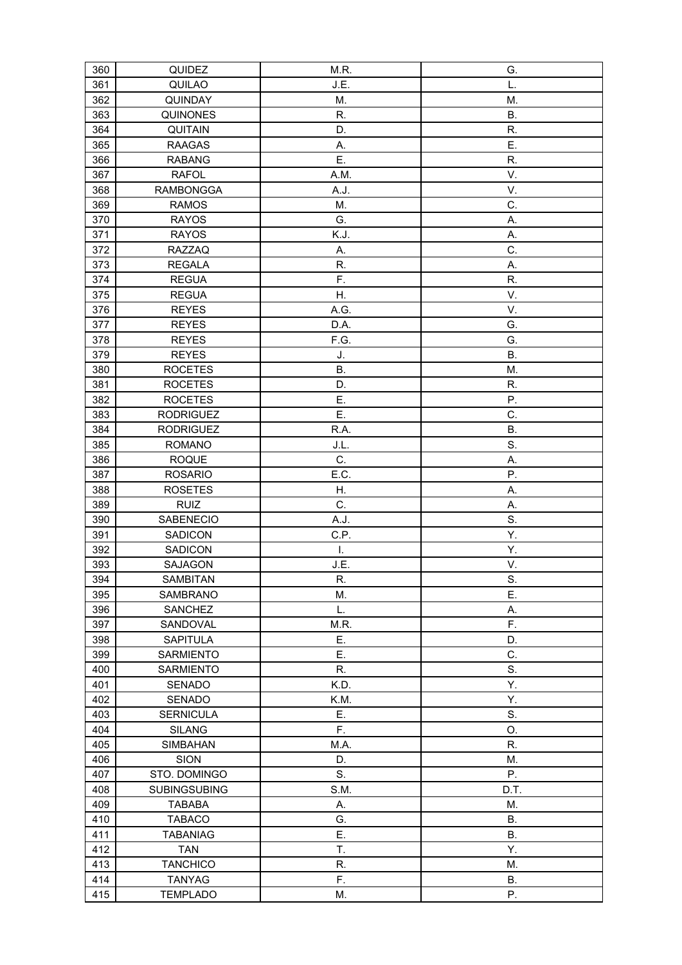| 360 | QUIDEZ              | M.R.      | G.        |
|-----|---------------------|-----------|-----------|
| 361 | QUILAO              | J.E.      | L.        |
| 362 | QUINDAY             | M.        | M.        |
| 363 | <b>QUINONES</b>     | R.        | <b>B.</b> |
| 364 | <b>QUITAIN</b>      | D.        | R.        |
| 365 | <b>RAAGAS</b>       | А.        | Ε.        |
| 366 | <b>RABANG</b>       | Ε.        | R.        |
| 367 | <b>RAFOL</b>        | A.M.      | V.        |
| 368 | <b>RAMBONGGA</b>    | A.J.      | V.        |
| 369 | <b>RAMOS</b>        | M.        | C.        |
| 370 | <b>RAYOS</b>        | G.        | Α.        |
| 371 | <b>RAYOS</b>        | K.J.      | А.        |
| 372 | <b>RAZZAQ</b>       | Α.        | C.        |
| 373 | <b>REGALA</b>       | R.        | Α.        |
| 374 | <b>REGUA</b>        | F.        | R.        |
| 375 | <b>REGUA</b>        | Η.        | V.        |
| 376 | <b>REYES</b>        | A.G.      | V.        |
| 377 | <b>REYES</b>        | D.A.      | G.        |
| 378 | <b>REYES</b>        | F.G.      | G.        |
| 379 | <b>REYES</b>        | J.        | <b>B.</b> |
| 380 | <b>ROCETES</b>      | <b>B.</b> | M.        |
| 381 | <b>ROCETES</b>      | D.        | R.        |
| 382 | <b>ROCETES</b>      | Ε.        | Ρ.        |
| 383 | <b>RODRIGUEZ</b>    | Ε.        | C.        |
| 384 | <b>RODRIGUEZ</b>    | R.A.      | <b>B.</b> |
| 385 | <b>ROMANO</b>       | J.L.      | S.        |
| 386 | <b>ROQUE</b>        | C.        | Α.        |
| 387 | <b>ROSARIO</b>      | E.C.      | Ρ.        |
| 388 | <b>ROSETES</b>      | Η.        | Α.        |
| 389 | <b>RUIZ</b>         | C.        | Α.        |
| 390 | <b>SABENECIO</b>    | A.J.      | S.        |
| 391 | <b>SADICON</b>      | C.P.      | Υ.        |
| 392 | <b>SADICON</b>      | I.        | Υ.        |
| 393 | SAJAGON             | J.E.      | V.        |
| 394 | SAMBITAN            | R.        | S.        |
| 395 | SAMBRANO            | М.        | Ε.        |
| 396 | <b>SANCHEZ</b>      | L.        | Α.        |
| 397 | SANDOVAL            | M.R.      | F.        |
| 398 | <b>SAPITULA</b>     | Ε.        | D.        |
| 399 | <b>SARMIENTO</b>    | Ε.        | C.        |
| 400 | SARMIENTO           | R.        | S.        |
| 401 | SENADO              | K.D.      | Υ.        |
| 402 | SENADO              | K.M.      | Υ.        |
| 403 | <b>SERNICULA</b>    | Ε.        | S.        |
| 404 | <b>SILANG</b>       | F.        | O.        |
| 405 | <b>SIMBAHAN</b>     | M.A.      | R.        |
| 406 | <b>SION</b>         | D.        | M.        |
| 407 | STO. DOMINGO        | S.        | Ρ.        |
| 408 | <b>SUBINGSUBING</b> | S.M.      | D.T.      |
| 409 | <b>TABABA</b>       | А.        | М.        |
| 410 | <b>TABACO</b>       | G.        | В.        |
| 411 | <b>TABANIAG</b>     | Ε.        | <b>B.</b> |
| 412 | <b>TAN</b>          | T.        | Υ.        |
| 413 | <b>TANCHICO</b>     | R.        | М.        |
| 414 | <b>TANYAG</b>       | F.        | Β.        |
| 415 | <b>TEMPLADO</b>     | М.        | Ρ.        |